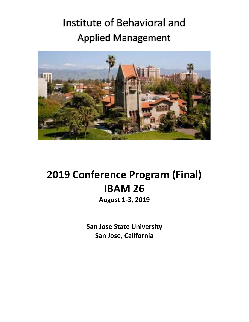# Institute of Behavioral and Applied Management



# **2019 Conference Program (Final) IBAM 26**

**August 1‐3, 2019** 

**San Jose State University San Jose, California**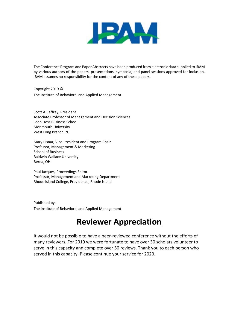

The Conference Program and Paper Abstracts have been produced from electronic data supplied to IBAM by various authors of the papers, presentations, symposia, and panel sessions approved for inclusion. IBAM assumes no responsibility for the content of any of these papers.

Copyright 2019 © The Institute of Behavioral and Applied Management

Scott A. Jeffrey, President Associate Professor of Management and Decision Sciences Leon Hess Business School Monmouth University West Long Branch, NJ

Mary Pisnar, Vice‐President and Program Chair Professor, Management & Marketing School of Business Baldwin Wallace University Berea, OH

Paul Jacques, Proceedings Editor Professor, Management and Marketing Department Rhode Island College, Providence, Rhode Island

Published by: The Institute of Behavioral and Applied Management

## **Reviewer Appreciation**

It would not be possible to have a peer‐reviewed conference without the efforts of many reviewers. For 2019 we were fortunate to have over 30 scholars volunteer to serve in this capacity and complete over 50 reviews. Thank you to each person who served in this capacity. Please continue your service for 2020.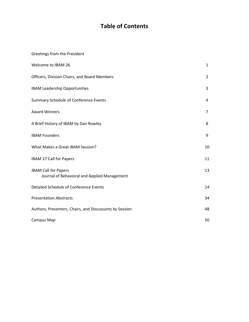## **Table of Contents**

| Greetings from the President                                                |                |
|-----------------------------------------------------------------------------|----------------|
| Welcome to IBAM 26                                                          | $\mathbf{1}$   |
| Officers, Division Chairs, and Board Members                                | $\overline{2}$ |
| <b>IBAM Leadership Opportunities</b>                                        | 3              |
| Summary Schedule of Conference Events                                       | 4              |
| <b>Award Winners</b>                                                        | $\overline{7}$ |
| A Brief History of IBAM by Dan Rowley                                       | 8              |
| <b>IBAM Founders</b>                                                        | 9              |
| What Makes a Great IBAM Session?                                            | 10             |
| IBAM 27 Call for Papers                                                     | 11             |
| <b>JBAM Call for Papers</b><br>Journal of Behavioral and Applied Management | 13             |
| Detailed Schedule of Conference Events                                      | 14             |
| <b>Presentation Abstracts</b>                                               | 34             |
| Authors, Presenters, Chairs, and Discussants by Session                     | 48             |
| Campus Map                                                                  | 50             |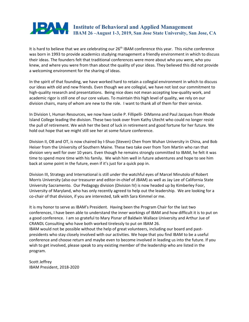

It is hard to believe that we are celebrating our 26<sup>th</sup> IBAM conference this year. This niche conference was born in 1993 to provide academics studying management a friendly environment in which to discuss their ideas. The founders felt that traditional conferences were more about who you were, who you knew, and where you were from than about the quality of your ideas. They believed this did not provide a welcoming environment for the sharing of ideas.

In the spirit of that founding, we have worked hard to retain a collegial environment in which to discuss our ideas with old and new friends. Even though we are collegial, we have not lost our commitment to high-quality research and presentations. Being nice does not mean accepting low-quality work, and academic rigor is still one of our core values. To maintain this high level of quality, we rely on our division chairs, many of whom are new to the role. I want to thank all of them for their service.

In Division I, Human Resources, we now have Leslie P. Fillipelli‐ DiManna and Paul Jacques from Rhode Island College leading the division. These two took over from Kathy Utecht who could no longer resist the pull of retirement. We wish her the best of luck in retirement and good fortune for her future. We hold out hope that we might still see her at some future conference.

Division II, OB and OT, is now chaired by I‐Shuo (Steven) Chen from Wuhan University in China, and Bob Heiser from the University of Southern Maine. These two take over from Tom Martin who ran that division very well for over 10 years. Even though he remains strongly committed to IBAM, he felt it was time to spend more time with his family. We wish him well in future adventures and hope to see him back at some point in the future, even if it's just for a quick pop in.

Division III, Strategy and International is still under the watchful eyes of Marcel Minutolo of Robert Morris University (also our treasurer and editor‐in‐chief of JBAM) as well as Jay Lee of California State University Sacramento. Our Pedagogy division (Division IV) is now headed up by Kimberley Foor, University of Maryland, who has only recently agreed to help out the leadership. We are looking for a co-chair of that division, if you are interested, talk with Sara Kimmel or me.

It is my honor to serve as IBAM's President. Having been the Program Chair for the last two conferences, I have been able to understand the inner workings of IBAM and how difficult it is to put on a good conference. I am so grateful to Mary Pisnar of Baldwin Wallace University and Arthur Jue of CRANDL Consulting who have both worked tirelessly to put on IBAM 26.

IBAM would not be possible without the help of great volunteers, including our board and past‐ presidents who stay closely involved with our activities. We hope that you find IBAM to be a useful conference and choose return and maybe even to become involved in leading us into the future. If you wish to get involved, please speak to any existing member of the leadership who are listed in the program.

Scott Jeffrey IBAM President, 2018‐2020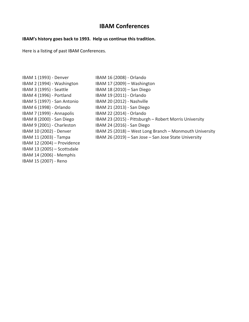### **IBAM Conferences**

### **IBAM's history goes back to 1993. Help us continue this tradition.**

Here is a listing of past IBAM Conferences.

IBAM 1 (1993) ‐ Denver IBAM 2 (1994) ‐ Washington IBAM 3 (1995) ‐ Seattle IBAM 4 (1996) ‐ Portland IBAM 5 (1997) ‐ San Antonio IBAM 6 (1998) ‐ Orlando IBAM 7 (1999) ‐ Annapolis IBAM 8 (2000) ‐ San Diego IBAM 9 (2001) ‐ Charleston IBAM 10 (2002) ‐ Denver IBAM 11 (2003) ‐ Tampa IBAM 12 (2004) – Providence IBAM 13 (2005) – Scottsdale IBAM 14 (2006) ‐ Memphis IBAM 15 (2007) ‐ Reno

IBAM 16 (2008) ‐ Orlando IBAM 17 (2009) – Washington IBAM 18 (2010) – San Diego IBAM 19 (2011) ‐ Orlando IBAM 20 (2012) ‐ Nashville IBAM 21 (2013) ‐ San Diego IBAM 22 (2014) ‐ Orlando IBAM 23 (2015) ‐ Pittsburgh – Robert Morris University IBAM 24 (2016) ‐ San Diego IBAM 25 (2018) – West Long Branch – Monmouth University IBAM 26 (2019) – San Jose – San Jose State University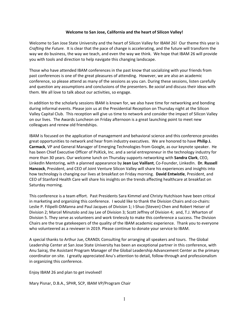#### **Welcome to San Jose, California and the heart of Silicon Valley!**

Welcome to San Jose State University and the heart of Silicon Valley for IBAM 26! Our theme this year is *Crafting the Future.* It is clear that the pace of change is accelerating, and the future will transform the way we do business, the way we teach, and even the way we think. We hope that IBAM 26 will provide you with tools and direction to help navigate this changing landscape.

Those who have attended IBAM conferences in the past know that socializing with your friends from past conferences is one of the great pleasures of attending. However, we are also an academic conference, so please attend as many of the sessions as you can. During these sessions, listen carefully and question any assumptions and conclusions of the presenters. Be *social* and discuss their ideas with them. We all love to talk about our activities, so engage.

In addition to the scholarly sessions IBAM is known for, we also have time for networking and bonding during informal events. Please join us at the Presidential Reception on Thursday night at the Silicon Valley Capital Club. This reception will give us time to network and consider the impact of Silicon Valley on our lives. The Awards Luncheon on Friday afternoon is a great launching point to meet new colleagues and renew old friendships.

IBAM is focused on the application of management and behavioral science and this conference provides great opportunities to network and hear from industry executives. We are honored to have **Philip J. Carmack**, VP and General Manager of Emerging Technologies from Google, as our keynote speaker. He has been Chief Executive Officer of PsiKick, Inc. and a serial entrepreneur in the technology industry for more than 30 years. Our welcome lunch on Thursday supports networking with **Sandra Clark**, CEO, LinkedIn Mentoring, with a planned appearance by **Jean Luc Vaillant**, Co‐Founder, LinkedIn. **Dr. Russell Hancock**, President, and CEO of Joint Venture Silicon Valley will share his experiences and insights into how technology is changing our lives at breakfast on Friday morning. **David Entwistle**, President, and CEO of Stanford Health Care will share his insights on the trends affecting healthcare at breakfast on Saturday morning.

This conference is a team effort. Past Presidents Sara Kimmel and Christy Hutchison have been critical in marketing and organizing this conference. I would like to thank the Division Chairs and co-chairs: Leslie P. Filipelli‐DiManna and Paul Jacques of Division 1; I‐Shuo (Steven) Chen and Robert Heiser of Division 2; Marcel Minutolo and Jay Lee of Division 3; Scott Jeffrey of Division 4; and, T.J. Wharton of Division 5. They serve as volunteers and work tirelessly to make this conference a success. The Division Chairs are the true gatekeepers of the quality of the IBAM academic experience. Thank you to everyone who volunteered as a reviewer in 2019. Please continue to donate your service to IBAM.

A special thanks to Arthur Jue, CRANDL Consulting for arranging all speakers and tours. The Global Leadership Center at San Jose State University has been an exceptional partner in this conference, with Anu Sairaj, the Assistant Program Manager of the Global Leadership Advancement Center as the primary coordinator on site. I greatly appreciated Anu's attention to detail, follow‐through and professionalism in organizing this conference.

Enjoy IBAM 26 and plan to get involved!

Mary Pisnar, D.B.A., SPHR, SCP, IBAM VP/Program Chair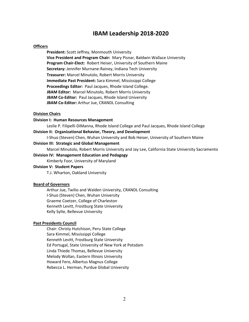### **IBAM Leadership 2018‐2020**

#### **Officers**

**President:** Scott Jeffrey, Monmouth University **Vice President and Program Chair:** Mary Pisnar, Baldwin Wallace University **Program Chair‐Elect:** Robert Heiser, University of Southern Maine **Secretary:** Jennifer Murnane‐Rainey, Indiana Tech University **Treasurer:** Marcel Minutolo, Robert Morris University **Immediate Past President:** Sara Kimmel, Mississippi College Proceedings Editor: Paul Jacques, Rhode Island College. JBAM Editor: Marcel Minutolo, Robert Morris University **JBAM Co-Editor: Paul Jacques, Rhode Island University JBAM Co‐Editor:** Arthur Jue, CRANDL Consulting

#### **Division Chairs**

#### **Division I: Human Resources Management**

Leslie P. Filipelli‐DiManna, Rhode Island College and Paul Jacques, Rhode Island College

### **Division II: Organizational Behavior, Theory, and Development**

I‐Shuo (Steven) Chen, Wuhan University and Bob Heiser, University of Southern Maine

#### **Division III: Strategic and Global Management**

Marcel Minutolo, Robert Morris University and Jay Lee, California State University Sacramento

#### **Division IV: Management Education and Pedagogy**

Kimberly Foor, University of Maryland

#### **Division V: Student Papers**

T.J. Wharton, Oakland University

#### **Board of Governors**

Arthur Jue, Twilio and Walden University, CRANDL Consulting I‐Shuo (Steven) Chen, Wuhan University Graeme Coetzer, College of Charleston Kenneth Levitt, Frostburg State University Kelly Sylte, Bellevue University

#### **Past Presidents Council**

Chair: Christy Hutchison, Peru State College Sara Kimmel, Mississippi College Kenneth Levitt, Frostburg State University Ed Portugal, State University of New York at Potsdam Linda Thiede Thomas, Bellevue University Melody Wollan, Eastern Illinois University Howard Fero, Albertus Magnus College Rebecca L. Herman, Purdue Global University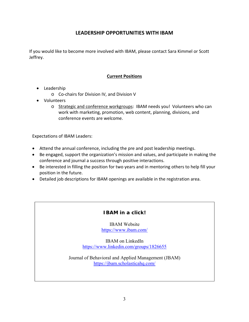### **LEADERSHIP OPPORTUNITIES WITH IBAM**

If you would like to become more involved with IBAM, please contact Sara Kimmel or Scott Jeffrey.

### **Current Positions**

- Leadership
	- o Co‐chairs for Division IV, and Division V
- Volunteers
	- o Strategic and conference workgroups: IBAM needs you! Volunteers who can work with marketing, promotion, web content, planning, divisions, and conference events are welcome.

Expectations of IBAM Leaders:

- Attend the annual conference, including the pre and post leadership meetings.
- Be engaged, support the organization's mission and values, and participate in making the conference and journal a success through positive interactions.
- Be interested in filling the position for two years and in mentoring others to help fill your position in the future.
- Detailed job descriptions for IBAM openings are available in the registration area.

### **IBAM in a click!**

IBAM Website https://www.ibam.com/

IBAM on LinkedIn https://www.linkedin.com/groups/1826655

Journal of Behavioral and Applied Management (JBAM) https://jbam.scholasticahq.com/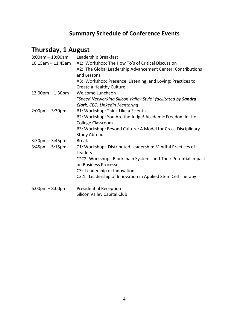## **Summary Schedule of Conference Events**

## **Thursday, 1 August**

| $8:00$ am $-10:00$ am             | Leadership Breakfast                                          |
|-----------------------------------|---------------------------------------------------------------|
| $10:15$ am - 11:45am              | A1: Workshop: The How To's of Critical Discussion             |
|                                   | A2: The Global Leadership Advancement Center: Contributions   |
|                                   | and Lessons                                                   |
|                                   | A3: Workshop: Presence, Listening, and Loving: Practices to   |
|                                   | Create a Healthy Culture                                      |
| $12:00$ pm $-1:30$ pm             | Welcome Luncheon                                              |
|                                   | "Speed Networking Silicon Valley Style" facilitated by Sandra |
|                                   | Clark, CEO, LinkedIn Mentoring                                |
| $2:00 \text{pm} - 3:30 \text{pm}$ | B1: Workshop: Think Like a Scientist                          |
|                                   | B2: Workshop: You Are the Judge! Academic Freedom in the      |
|                                   | <b>College Classroom</b>                                      |
|                                   | B3: Workshop: Beyond Culture: A Model for Cross-Disciplinary  |
|                                   | <b>Study Abroad</b>                                           |
| $3:30$ pm $-3:45$ pm              | <b>Break</b>                                                  |
| $3:45$ pm $-5:15$ pm              | C1: Workshop: Distributed Leadership: Mindful Practices of    |
|                                   | Leaders                                                       |
|                                   | **C2: Workshop: Blockchain Systems and Their Potential Impact |
|                                   | on Business Processes                                         |
|                                   | C3: Leadership of Innovation                                  |
|                                   | C3.1: Leadership of Innovation in Applied Stem Cell Therapy   |
| $6:00 \text{pm} - 8:00 \text{pm}$ | <b>Presidential Reception</b>                                 |
|                                   | Silicon Valley Capital Club                                   |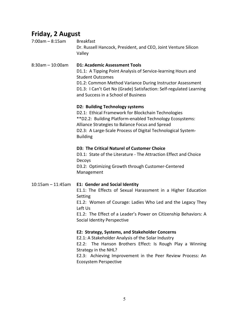### **Friday, 2 August**

| $7:00$ am – 8:15am | Breakfast                                                      |
|--------------------|----------------------------------------------------------------|
|                    | Dr. Russell Hancock, President, and CEO, Joint Venture Silicon |
|                    | Vallev                                                         |

8:30am – 10:00am **D1: Academic Assessment Tools**  D1.1: A Tipping Point Analysis of Service-learning Hours and Student Outcomes D1.2: Common Method Variance During Instructor Assessment D1.3: I Can't Get No (Grade) Satisfaction: Self-regulated Learning and Success in a School of Business

#### **D2: Building Technology systems**

D2.1: Ethical Framework for Blockchain Technologies \*\*D2.2: Building Platform‐enabled Technology Ecosystems: Alliance Strategies to Balance Focus and Spread D2.3: A Large-Scale Process of Digital Technological System-Building

### **D3: The Critical Naturel of Customer Choice**

D3.1: State of the Literature - The Attraction Effect and Choice Decoys D3.2: Optimizing Growth through Customer‐Centered Management

### 10:15am – 11:45am **E1: Gender and Social Identity**

E1.1: The Effects of Sexual Harassment in a Higher Education Setting

E1.2: Women of Courage: Ladies Who Led and the Legacy They Left Us

E1.2: The Effect of a Leader's Power on Citizenship Behaviors: A Social Identity Perspective

### **E2: Strategy, Systems, and Stakeholder Concerns**

E2.1: A Stakeholder Analysis of the Solar Industry

E2.2: The Hanson Brothers Effect: Is Rough Play a Winning Strategy in the NHL?

E2.3: Achieving Improvement in the Peer Review Process: An Ecosystem Perspective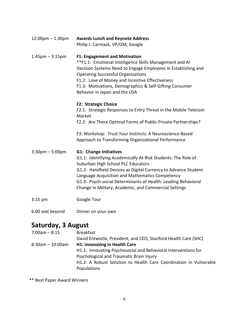| $12:00 \text{pm} - 1:30 \text{pm}$ | <b>Awards Lunch and Keynote Address</b><br>Philip J. Carmack, VP/GM, Google                                                                                                                                                                                                                                                                                                       |  |
|------------------------------------|-----------------------------------------------------------------------------------------------------------------------------------------------------------------------------------------------------------------------------------------------------------------------------------------------------------------------------------------------------------------------------------|--|
| $1:45$ pm $-3:15$ pm               | <b>F1: Engagement and Motivation</b><br>**F1.1: Emotional Intelligence Skills Management and AI<br>Decision Systems Need to Engage Employees in Establishing and<br><b>Operating Successful Organizations</b><br>F1.2: Love of Money and Incentive Effectiveness<br>F1.3: Motivations, Demographics & Self-Gifting Consumer<br>Behavior in Japan and the USA                      |  |
|                                    | <b>F2: Strategic Choice</b><br>F2.1: Strategic Responses to Entry Threat in the Mobile Telecom<br>Market<br>F2.2: Are There Optimal Forms of Public-Private Partnerships?<br>F3: Workshop: Trust Your Instincts: A Neuroscience-Based                                                                                                                                             |  |
|                                    | Approach to Transforming Organizational Performance                                                                                                                                                                                                                                                                                                                               |  |
| $3:30$ pm $-5:00$ pm               | <b>G1: Change Initiatives</b><br>G1.1: Identifying Academically At-Risk Students: The Role of<br>Suburban High School PLC Educators<br>G1.2: Handheld Devices as Digital Currency to Advance Student<br>Language Acquisition and Mathematics Competency<br>G1.3: Psych-social Determinants of Health: Leading Behavioral<br>Change in Military, Academic, and Commercial Settings |  |
| $3:15$ pm                          | Google Tour                                                                                                                                                                                                                                                                                                                                                                       |  |
| 6:00 and beyond                    | Dinner on your own                                                                                                                                                                                                                                                                                                                                                                |  |

## **Saturday, 3 August**

| $7:00am - 8:15$       | <b>Breakfast</b>                                                  |
|-----------------------|-------------------------------------------------------------------|
|                       | David Entwistle, President, and CEO, Stanford Health Care (SHC)   |
| $8:30$ am $-10:00$ am | <b>H1: Innovating in Health Care</b>                              |
|                       | H1.1: Innovating Psychosocial and Behavioral Interventions for    |
|                       | Psychological and Traumatic Brain Injury                          |
|                       | H1.2: A Robust Solution to Health Care Coordination in Vulnerable |
|                       | Populations                                                       |
|                       |                                                                   |

\*\* Best Paper Award Winners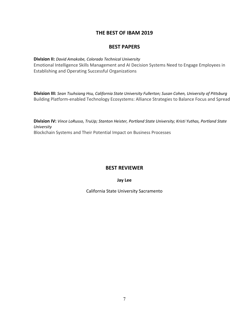### **THE BEST OF IBAM 2019**

### **BEST PAPERS**

### **Division II:** *David Amakobe, Colorado Technical University*

Emotional Intelligence Skills Management and AI Decision Systems Need to Engage Employees in Establishing and Operating Successful Organizations

**Division III:** *Sean Tsuhsiang Hsu, California State University Fullerton; Susan Cohen, University of Pittsburg*  Building Platform‐enabled Technology Ecosystems: Alliance Strategies to Balance Focus and Spread

**Division IV:** *Vince LoRusso, TruUp; Stanton Heister, Portland State University; Kristi Yuthas, Portland State University*  Blockchain Systems and Their Potential Impact on Business Processes

### **BEST REVIEWER**

**Jay Lee** 

California State University Sacramento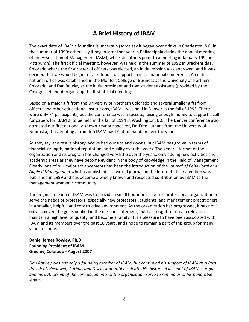### **A Brief History of IBAM**

The exact date of IBAM's founding is uncertain (some say it began over drinks in Charleston, S.C. in the summer of 1990; others say it began later that year in Philadelphia during the annual meeting of the Association of Management (AsM); while still others point to a meeting in January 1992 in Pittsburgh). The first official meeting, however, was held in the summer of 1992 in Breckenridge, Colorado where the first roster of officers was elected, an initial mission was approved, and it was decided that we would begin to raise funds to support an initial national conference. An initial national office was established in the Monfort College of Business at the University of Northern Colorado, and Dan Rowley as the initial president and two student assistants (provided by the College) set about organizing the first official meetings.

Based on a major gift from the University of Northern Colorado and several smaller gifts from officers and other educational institutions, IBAM 1 was held in Denver in the fall of 1993. There were only 74 participants, but the conference was a success, raising enough money to support a call for papers for IBAM 2, to be held in the fall of 1994 in Washington, D.C. The Denver conference also attracted our first nationally‐known Keynote speaker, Dr. Fred Luthans from the University of Nebraska, thus creating a tradition IBAM has tried to maintain over the years.

As they say, the rest is history. We've had our ups and downs, but IBAM has grown in terms of financial strength, national reputation, and quality over the years. The general format of the organization and its program has changed very little over the years, only adding new activities and academic areas as they have become evident in the body of knowledge in the Field of Management. Clearly, one of our major advancements has been the introduction of the *Journal of Behavioral and Applied Management* which is published as a virtual journal on the Internet. Its first edition was published in 1999 and has become a widely known and respected contribution by IBAM to the management academic community.

The original mission of IBAM was to provide a small boutique academic professional organization to serve the needs of professors (especially new professors), students, and management practitioners in a smaller, helpful, and constructive environment. As the organization has progressed, it has not only achieved the goals implied in the mission statement, but has sought to remain relevant, maintain a high level of quality, and become a family. It is a pleasure to have been associated with IBAM and its members over the past 18 years, and I hope to remain a part of this group for many years to come.

### Daniel James Rowley, Ph.D. **Founding President of IBAM Greeley, Colorado ‐ August 2007**

*Dan Rowley was not only a founding member of IBAM, but continued his support of IBAM as a Past President, Reviewer, Author, and Discussant until his death. His historical account of IBAM's origins and his authorship of the core documents of the organization serve to remind us of his honorable legacy.*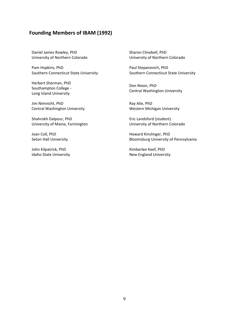### **Founding Members of IBAM (1992)**

Daniel James Rowley, PhD University of Northern Colorado

Pam Hopkins, PhD Southern Connecticut State University

Herbert Sherman, PhD Southampton College ‐ Long Island University

Jim Nimnicht, PhD Central Washington University

Shahrokh Dalpour, PhD University of Maine, Farmington

Joan Coll, PhD Seton Hall University

John Kilpatrick, PhD Idaho State University Sharon Clinebell, PhD University of Northern Colorado

Paul Stepanovich, PhD Southern Connecticut State University

Don Nixon, PhD Central Washington University

Ray Alie, PhD Western Michigan University

Eric Landsford (student) University of Northern Colorado

Howard Kinslinger, PhD Bloomsburg University of Pennsylvania

Kimberlee Keef, PhD New England University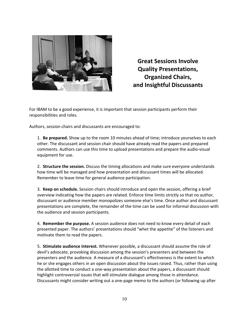

**Great Sessions Involve Quality Presentations, Organized Chairs, and Insightful Discussants** 

For IBAM to be a good experience, it is important that session participants perform their responsibilities and roles.

Authors, session chairs and discussants are encouraged to:

1. **Be prepared.** Show up to the room 10 minutes ahead of time; introduce yourselves to each other. The discussant and session chair should have already read the papers and prepared comments. Authors can use this time to upload presentations and prepare the audio‐visual equipment for use.

2. **Structure the session.** Discuss the timing allocations and make sure everyone understands how time will be managed and how presentation and discussant times will be allocated. Remember to leave time for general audience participation.

3. **Keep on schedule.** Session chairs should introduce and open the session, offering a brief overview indicating how the papers are related. Enforce time limits strictly so that no author, discussant or audience member monopolizes someone else's time. Once author and discussant presentations are complete, the remainder of the time can be used for informal discussion with the audience and session participants.

4. **Remember the purpose.** A session audience does not need to know every detail of each presented paper. The authors' presentations should "whet the appetite" of the listeners and motivate them to read the papers.

5. **Stimulate audience interest.** Whenever possible, a discussant should assume the role of devil's advocate, provoking discussion among the session's presenters and between the presenters and the audience. A measure of a discussant's effectiveness is the extent to which he or she engages others in an open discussion about the issues raised. Thus, rather than using the allotted time to conduct a one‐way presentation about the papers, a discussant should highlight controversial issues that will stimulate dialogue among those in attendance. Discussants might consider writing out a one‐page memo to the authors (or following up after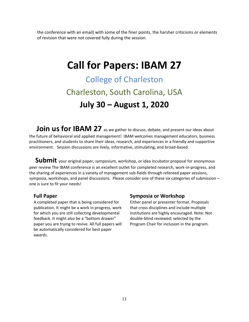the conference with an email) with some of the finer points, the harsher criticisms or elements of revision that were not covered fully during the session.

## **Call for Papers: IBAM 27**

College of Charleston Charleston, South Carolina, USA **July 30 – August 1, 2020** 

**Join us for IBAM 27** as we gather to discuss, debate, and present our ideas about the future of behavioral and applied management! IBAM welcomes management educators, business practitioners, and students to share their ideas, research, and experiences in a friendly and supportive environment. Session discussions are lively, informative, stimulating, and broad‐based.

Submit your original paper, symposium, workshop, or idea incubator proposal for anonymous peer review The IBAM conference is an excellent outlet for completed research, work‐in‐progress, and the sharing of experiences in a variety of management sub‐fields through refereed paper sessions, symposia, workshops, and panel discussions. Please consider one of these six categories of submission – one is sure to fit your needs!

### **Full Paper**

A completed paper that is being considered for publication. It might be a work in progress, work for which you are still collecting developmental feedback. It might also be a "bottom drawer" paper you are trying to revive. All full papers will be automatically considered for best paper awards.

### **Symposia or Workshop**

Either panel or presenter format. Proposals that cross disciplines and include multiple institutions are highly encouraged. Note: Not double‐blind reviewed; selected by the Program Chair for inclusion in the program.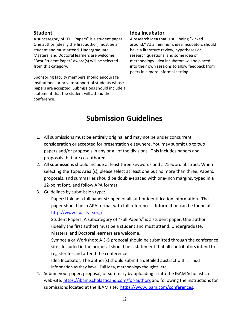### **Student**

A subcategory of "Full Papers" is a student paper. One author (ideally the first author) must be a student and must attend. Undergraduate, Masters, and Doctoral learners are welcome. "Best Student Paper" award(s) will be selected from this category.

Sponsoring faculty members should encourage institutional or private support of students whose papers are accepted. Submissions should include a statement that the student will attend the conference.

### **Idea Incubator**

A research idea that is still being "kicked around." At a minimum, idea incubators should have a literature review, hypotheses or research questions, and some idea of methodology. Idea incubators will be placed into their own sessions to allow feedback from peers in a more informal setting.

## **Submission Guidelines**

- 1. All submissions must be entirely original and may not be under concurrent consideration or accepted for presentation elsewhere. You may submit up to two papers and/or proposals in any or all of the divisions. This includes papers and proposals that are co‐authored.
- 2. All submissions should include at least three keywords and a 75‐word abstract. When selecting the Topic Area (s), please select at least one but no more than three. Papers, proposals, and summaries should be double‐spaced with one‐inch margins, typed in a 12-point font, and follow APA format.
- 3. Guidelines by submission type:

Paper: Upload a full paper stripped of all author identification information. The paper should be in APA format with full references. Information can be found at http://www.apastyle.org/.

Student Papers: A subcategory of "Full Papers" is a student paper. One author (ideally the first author) must be a student and must attend. Undergraduate, Masters, and Doctoral learners are welcome.

Symposia or Workshop: A 3‐5 proposal should be submitted through the conference site. Included in the proposal should be a statement that all contributors intend to register for and attend the conference.

Idea Incubator: The author(s) should submit a detailed abstract with as much information as they have. Full idea, methodology thoughts, etc.

4. Submit your paper, proposal, or summary by uploading it into the IBAM Scholastica web-site: https://ibam.scholasticahq.com/for-authors and following the instructions for submissions located at the IBAM site: https://www.ibam.com/conferences.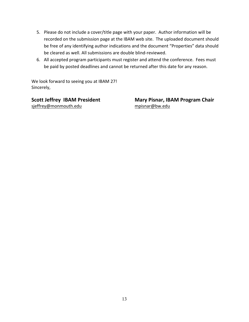- 5. Please do not include a cover/title page with your paper. Author information will be recorded on the submission page at the IBAM web site. The uploaded document should be free of any identifying author indications and the document "Properties" data should be cleared as well. All submissions are double blind‐reviewed.
- 6. All accepted program participants must register and attend the conference. Fees must be paid by posted deadlines and cannot be returned after this date for any reason.

We look forward to seeing you at IBAM 27! Sincerely,

sjeffrey@monmouth.edu mpisnar@bw.edu

Scott Jeffrey IBAM President **Mary Pisnar, IBAM Program Chair**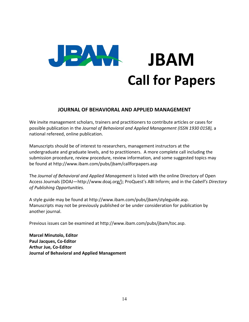

### **JOURNAL OF BEHAVIORAL AND APPLIED MANAGEMENT**

We invite management scholars, trainers and practitioners to contribute articles or cases for possible publication in the *Journal of Behavioral and Applied Management (ISSN 1930 0158),* a national refereed, online publication.

Manuscripts should be of interest to researchers, management instructors at the undergraduate and graduate levels, and to practitioners. A more complete call including the submission procedure, review procedure, review information, and some suggested topics may be found at http://www.ibam.com/pubs/jbam/callforpapers.asp

The *Journal of Behavioral and Applied Management* is listed with the online Directory of Open Access Journals (DOAJ—http://www.doaj.org/); ProQuest's ABI Inform; and in the *Cabell's Directory of Publishing Opportunities.* 

A style guide may be found at http://www.ibam.com/pubs/jbam/styleguide.asp. Manuscripts may not be previously published or be under consideration for publication by another journal.

Previous issues can be examined at http://www.ibam.com/pubs/jbam/toc.asp.

**Marcel Minutolo, Editor Paul Jacques, Co‐Editor Arthur Jue, Co‐Editor Journal of Behavioral and Applied Management**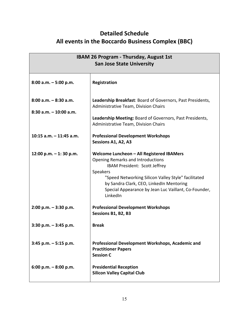### **Detailed Schedule All events in the Boccardo Business Complex (BBC)**

| <b>IBAM 26 Program - Thursday, August 1st</b>         |                                                                                                                                                                                                                                                                                                           |  |  |
|-------------------------------------------------------|-----------------------------------------------------------------------------------------------------------------------------------------------------------------------------------------------------------------------------------------------------------------------------------------------------------|--|--|
| <b>San Jose State University</b>                      |                                                                                                                                                                                                                                                                                                           |  |  |
|                                                       |                                                                                                                                                                                                                                                                                                           |  |  |
| $8:00$ a.m. $-5:00$ p.m.                              | Registration                                                                                                                                                                                                                                                                                              |  |  |
| $8:00$ a.m. $-8:30$ a.m.<br>$8:30$ a.m. $-10:00$ a.m. | Leadership Breakfast: Board of Governors, Past Presidents,<br>Administrative Team, Division Chairs                                                                                                                                                                                                        |  |  |
|                                                       | Leadership Meeting: Board of Governors, Past Presidents,<br>Administrative Team, Division Chairs                                                                                                                                                                                                          |  |  |
| $10:15$ a.m. $-11:45$ a.m.                            | <b>Professional Development Workshops</b><br>Sessions A1, A2, A3                                                                                                                                                                                                                                          |  |  |
| 12:00 p.m. $-1$ : 30 p.m.                             | Welcome Luncheon - All Registered IBAMers<br><b>Opening Remarks and Introductions</b><br>IBAM President: Scott Jeffrey<br>Speakers<br>"Speed Networking Silicon Valley Style" facilitated<br>by Sandra Clark, CEO, LinkedIn Mentoring<br>Special Appearance by Jean Luc Vaillant, Co-Founder,<br>LinkedIn |  |  |
| $2:00$ p.m. $-3:30$ p.m.                              | <b>Professional Development Workshops</b><br>Sessions B1, B2, B3                                                                                                                                                                                                                                          |  |  |
| $3:30$ p.m. $-3:45$ p.m.                              | <b>Break</b>                                                                                                                                                                                                                                                                                              |  |  |
| $3:45$ p.m. $-5:15$ p.m.                              | Professional Development Workshops, Academic and<br><b>Practitioner Papers</b><br><b>Session C</b>                                                                                                                                                                                                        |  |  |
| 6:00 p.m. $-8:00$ p.m.                                | <b>Presidential Reception</b><br><b>Silicon Valley Capital Club</b>                                                                                                                                                                                                                                       |  |  |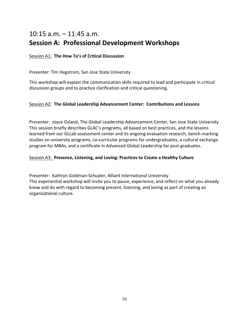## 10:15 a.m. – 11:45 a.m. **Session A: Professional Development Workshops**

### Session A1: **The How To's of Critical Discussion**

### Presenter: Tim Hegstrom, San Jose State University

This workshop will explain the communication skills required to lead and participate in critical discussion groups and to practice clarification and critical questioning.

### Session A2: **The Global Leadership Advancement Center: Contributions and Lessons**

Presenter: Joyce Osland, The Global Leadership Advancement Center, San Jose State University This session briefly describes GLAC's programs, all based on best practices, and the lessons learned from our GLLab assessment center and its ongoing evaluation research, bench-marking studies on university programs, co-curricular programs for undergraduates, a cultural exchange program for MBAs, and a certificate in Advanced Global Leadership for post‐graduates.

### Session A3: **Presence, Listening, and Loving: Practices to Create a Healthy Culture**

Presenter: Kathryn Goldman‐Schuyler, Alliant International University This experiential workshop will invite you to pause, experience, and reflect on what you already know and do with regard to becoming present, listening, and loving as part of creating an organizational culture.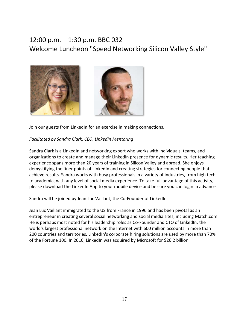## 12:00 p.m. – 1:30 p.m. BBC 032 Welcome Luncheon "Speed Networking Silicon Valley Style"



Join our guests from LinkedIn for an exercise in making connections.

### *Facilitated by Sandra Clark, CEO, LinkedIn Mentoring*

Sandra Clark is a LinkedIn and networking expert who works with individuals, teams, and organizations to create and manage their LinkedIn presence for dynamic results. Her teaching experience spans more than 20 years of training in Silicon Valley and abroad. She enjoys demystifying the finer points of LinkedIn and creating strategies for connecting people that achieve results. Sandra works with busy professionals in a variety of industries, from high tech to academia, with any level of social media experience. To take full advantage of this activity, please download the LinkedIn App to your mobile device and be sure you can login in advance

Sandra will be joined by Jean Luc Vaillant, the Co‐Founder of LinkedIn

Jean Luc Vaillant immigrated to the US from France in 1996 and has been pivotal as an entrepreneur in creating several social networking and social media sites, including Match.com. He is perhaps most noted for his leadership roles as Co‐Founder and CTO of LinkedIn, the world's largest professional network on the Internet with 600 million accounts in more than 200 countries and territories. LinkedIn's corporate hiring solutions are used by more than 70% of the Fortune 100. In 2016, LinkedIn was acquired by Microsoft for \$26.2 billion.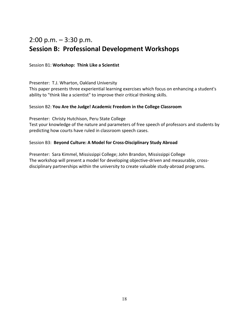## 2:00 p.m.  $-3:30$  p.m. **Session B: Professional Development Workshops**

### Session B1: **Workshop: Think Like a Scientist**

Presenter: T.J. Wharton, Oakland University

This paper presents three experiential learning exercises which focus on enhancing a student's ability to "think like a scientist" to improve their critical thinking skills.

### Session B2: **You Are the Judge! Academic Freedom in the College Classroom**

Presenter: Christy Hutchison, Peru State College

Test your knowledge of the nature and parameters of free speech of professors and students by predicting how courts have ruled in classroom speech cases.

### Session B3: **Beyond Culture: A Model for Cross‐Disciplinary Study Abroad**

Presenter: Sara Kimmel, Mississippi College; John Brandon, Mississippi College The workshop will present a model for developing objective‐driven and measurable, cross‐ disciplinary partnerships within the university to create valuable study‐abroad programs.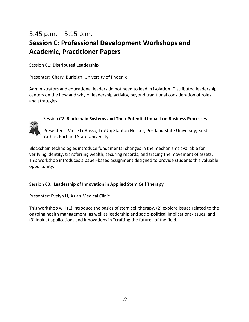## 3:45 p.m. – 5:15 p.m. **Session C: Professional Development Workshops and Academic, Practitioner Papers**

### Session C1: **Distributed Leadership**

Presenter: Cheryl Burleigh, University of Phoenix

Administrators and educational leaders do not need to lead in isolation. Distributed leadership centers on the how and why of leadership activity, beyond traditional consideration of roles and strategies.

### Session C2: **Blockchain Systems and Their Potential Impact on Business Processes**



Presenters: Vince LoRusso, TruUp; Stanton Heister, Portland State University; Kristi Yuthas, Portland State University

Blockchain technologies introduce fundamental changes in the mechanisms available for verifying identity, transferring wealth, securing records, and tracing the movement of assets. This workshop introduces a paper‐based assignment designed to provide students this valuable opportunity.

### Session C3: **Leadership of Innovation in Applied Stem Cell Therapy**

Presenter: Evelyn Li, Asian Medical Clinic

This workshop will (1) introduce the basics of stem cell therapy, (2) explore issues related to the ongoing health management, as well as leadership and socio‐political implications/issues, and (3) look at applications and innovations in "crafting the future" of the field.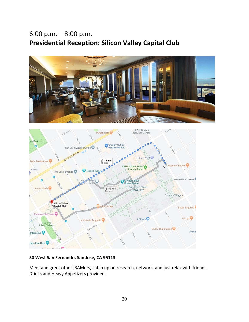## 6:00 p.m. – 8:00 p.m. **Presidential Reception: Silicon Valley Capital Club**





### **50 West San Fernando, San Jose, CA 95113**

Meet and greet other IBAMers, catch up on research, network, and just relax with friends. Drinks and Heavy Appetizers provided.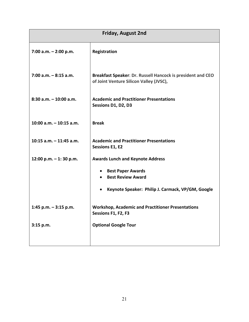| <b>Friday, August 2nd</b> |                                                                                                        |  |  |
|---------------------------|--------------------------------------------------------------------------------------------------------|--|--|
| 7:00 a.m. $-$ 2:00 p.m.   | Registration                                                                                           |  |  |
| $7:00$ a.m. $-8:15$ a.m.  | Breakfast Speaker: Dr. Russell Hancock is president and CEO<br>of Joint Venture Silicon Valley (JVSC), |  |  |
| $8:30$ a.m. $-10:00$ a.m. | <b>Academic and Practitioner Presentations</b><br>Sessions D1, D2, D3                                  |  |  |
| 10:00 a.m. $-$ 10:15 a.m. | <b>Break</b>                                                                                           |  |  |
| 10:15 $a.m. - 11:45 a.m.$ | <b>Academic and Practitioner Presentations</b><br><b>Sessions E1, E2</b>                               |  |  |
| 12:00 p.m. $-1$ : 30 p.m. | <b>Awards Lunch and Keynote Address</b>                                                                |  |  |
|                           | <b>Best Paper Awards</b><br><b>Best Review Award</b>                                                   |  |  |
|                           | Keynote Speaker: Philip J. Carmack, VP/GM, Google                                                      |  |  |
| 1:45 p.m. $-$ 3:15 p.m.   | <b>Workshop, Academic and Practitioner Presentations</b><br>Sessions F1, F2, F3                        |  |  |
| 3:15 p.m.                 | <b>Optional Google Tour</b>                                                                            |  |  |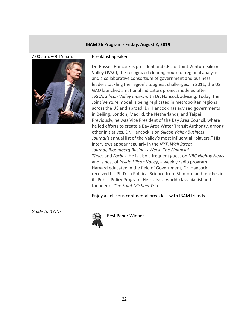### **IBAM 26 Program ‐ Friday, August 2, 2019**

#### 7:00 a.m. – 8:15 a.m.



#### Breakfast Speaker

Dr. Russell Hancock is president and CEO of Joint Venture Silicon Valley (JVSC), the recognized clearing house of regional analysis and a collaborative consortium of government and business leaders tackling the region's toughest challenges. In 2011, the US GAO launched a national indicators project modeled after JVSC's *Silicon Valley Index*, with Dr. Hancock advising. Today, the Joint Venture model is being replicated in metropolitan regions across the US and abroad. Dr. Hancock has advised governments in Beijing, London, Madrid, the Netherlands, and Taipei. Previously, he was Vice President of the Bay Area Council, where he led efforts to create a Bay Area Water Transit Authority, among other initiatives. Dr. Hancock is on *Silicon Valley Business Journal's* annual list of the Valley's most influential "players." His interviews appear regularly in the *NYT*, *Wall Street Journal*, *Bloomberg Business Week*, *The Financial Times* and *Forbes*. He is also a frequent guest on *NBC Nightly News*  and is host of *Inside Silicon Valley*, a weekly radio program. Harvard educated in the field of Government, Dr. Hancock received his Ph.D. in Political Science from Stanford and teaches in its Public Policy Program. He is also a world‐class pianist and founder of *The Saint Michael Trio*.

Enjoy a delicious continental breakfast with IBAM friends.

*Guide to ICONs:* 



Best Paper Winner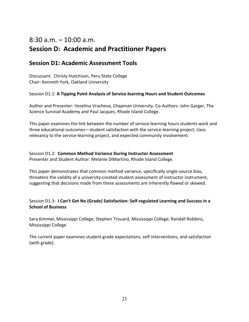## 8:30 a.m. – 10:00 a.m. **Session D: Academic and Practitioner Papers**

### **Session D1: Academic Assessment Tools**

Discussant: Christy Hutchison, Peru State College Chair: Kenneth York, Oakland University

Session D1.1: A Tipping Point Analysis of Service-learning Hours and Student Outcomes

Author and Presenter: Veselina Vracheva, Chapman University. Co‐Authors: John Garger, The Science Survival Academy and Paul Jacques, Rhode Island College.

This paper examines the link between the number of service‐learning hours students work and three educational outcomes—student satisfaction with the service‐learning project, class relevancy to the service‐learning project, and expected community involvement.

Session D1.2: **Common Method Variance During Instructor Assessment**  Presenter and Student Author: Melanie DiMartino, Rhode Island College.

This paper demonstrates that common method variance, specifically single‐source bias, threatens the validity of a university‐created student assessment of instructor instrument, suggesting that decisions made from these assessments are inherently flawed or skewed.

### Session D1.3: **I Can't Get No (Grade) Satisfaction: Self‐regulated Learning and Success in a School of Business**

Sara Kimmel, Mississippi College; Stephen Trouard, Mississippi College; Randall Robbins, Mississippi College

The current paper examines student grade expectations, self-interventions, and satisfaction (with grade).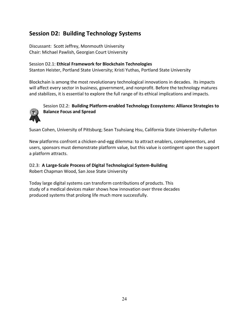### **Session D2: Building Technology Systems**

Discussant: Scott Jeffrey, Monmouth University Chair: Michael Pawlish, Georgian Court University

### Session D2.1: **Ethical Framework for Blockchain Technologies**

Stanton Heister, Portland State University; Kristi Yuthas, Portland State University

Blockchain is among the most revolutionary technological innovations in decades. Its impacts will affect every sector in business, government, and nonprofit. Before the technology matures and stabilizes, it is essential to explore the full range of its ethical implications and impacts.



### Session D2.2: **Building Platform‐enabled Technology Ecosystems: Alliance Strategies to Balance Focus and Spread**

Susan Cohen, University of Pittsburg; Sean Tsuhsiang Hsu, California State University–Fullerton

New platforms confront a chicken‐and‐egg dilemma: to attract enablers, complementors, and users, sponsors must demonstrate platform value, but this value is contingent upon the support a platform attracts.

D2.3: **A Large‐Scale Process of Digital Technological System‐Building**

Robert Chapman Wood, San Jose State University

Today large digital systems can transform contributions of products. This study of a medical devices maker shows how innovation over three decades produced systems that prolong life much more successfully.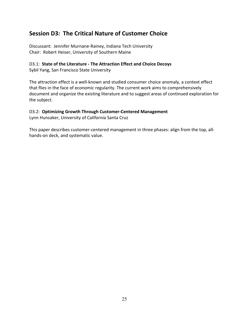### **Session D3: The Critical Nature of Customer Choice**

Discussant: Jennifer Murnane‐Rainey, Indiana Tech University Chair: Robert Heiser, University of Southern Maine

### D3.1: **State of the Literature ‐ The Attraction Effect and Choice Decoys**

Sybil Yang, San Francisco State University

The attraction effect is a well-known and studied consumer choice anomaly, a context effect that flies in the face of economic regularity. The current work aims to comprehensively document and organize the existing literature and to suggest areas of continued exploration for the subject.

### D3.2: **Optimizing Growth Through Customer‐Centered Management**

Lynn Hunsaker, University of California Santa Cruz

This paper describes customer‐centered management in three phases: align from the top, all‐ hands‐on deck, and systematic value.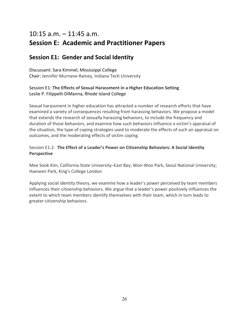## 10:15 a.m. – 11:45 a.m. **Session E: Academic and Practitioner Papers**

### **Session E1: Gender and Social Identity**

Discussant: Sara Kimmel, Mississippi College Chair: Jennifer Murnane‐Rainey, Indiana Tech University

### Session E1: **The Effects of Sexual Harassment in a Higher Education Setting** Leslie P. Filippelli‐DiManna, Rhode Island College

Sexual harassment in higher education has attracted a number of research efforts that have examined a variety of consequences resulting from harassing behaviors. We propose a model that extends the research of sexually harassing behaviors, to include the frequency and duration of those behaviors, and examine how such behaviors influence a victim's appraisal of the situation, the type of coping strategies used to moderate the effects of such an appraisal on outcomes, and the moderating effects of victim coping.

### Session E1.2: **The Effect of a Leader's Power on Citizenship Behaviors: A Social Identity Perspective**

Mee Sook Kim, California State University–East Bay; Won‐Woo Park, Seoul National University; Haeseen Park, King's College London

Applying social identity theory, we examine how a leader's power perceived by team members influences their citizenship behaviors. We argue that a leader's power positively influences the extent to which team members identify themselves with their team, which in turn leads to greater citizenship behaviors.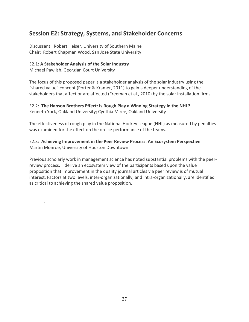### **Session E2: Strategy, Systems, and Stakeholder Concerns**

Discussant: Robert Heiser, University of Southern Maine Chair: Robert Chapman Wood, San Jose State University

### E2.1: **A Stakeholder Analysis of the Solar Industry**

Michael Pawlish, Georgian Court University

.

The focus of this proposed paper is a stakeholder analysis of the solar industry using the "shared value" concept (Porter & Kramer, 2011) to gain a deeper understanding of the stakeholders that affect or are affected (Freeman et al., 2010) by the solar installation firms.

### E2.2: **The Hanson Brothers Effect: Is Rough Play a Winning Strategy in the NHL?**

Kenneth York, Oakland University; Cynthia Miree, Oakland University

The effectiveness of rough play in the National Hockey League (NHL) as measured by penalties was examined for the effect on the on-ice performance of the teams.

### E2.3:  **Achieving Improvement in the Peer Review Process: An Ecosystem Perspective**  Martin Monroe, University of Houston Downtown

Previous scholarly work in management science has noted substantial problems with the peer‐ review process. I derive an ecosystem view of the participants based upon the value proposition that improvement in the quality journal articles via peer review is of mutual interest. Factors at two levels, inter‐organizationally, and intra‐organizationally, are identified as critical to achieving the shared value proposition.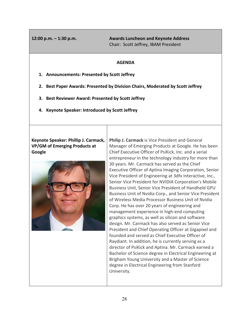**12:00 p.m. – 1:30 p.m. Awards Luncheon and Keynote Address**  Chair: Scott Jeffrey, IBAM President

### **AGENDA**

- **1. Announcements: Presented by Scott Jeffrey**
- **2. Best Paper Awards: Presented by Division Chairs, Moderated by Scott Jeffrey**
- **3. Best Reviewer Award: Presented by Scott Jeffrey**
- **4. Keynote Speaker: Introduced by Scott Jeffrey**

**Keynote Speaker: Phillip J. Carmack, VP/GM of Emerging Products at Google** 



**Philip J. Carmack** is Vice President and General Manager of Emerging Products at Google. He has been Chief Executive Officer of PsiKick, Inc. and a serial entrepreneur in the technology industry for more than 30 years. Mr. Carmack has served as the Chief Executive Officer of Aptina Imaging Corporation, Senior Vice President of Engineering at 3dfx Interactive, Inc., Senior Vice President for NVIDIA Corporation's Mobile Business Unit, Senior Vice President of Handheld GPU Business Unit of Nvidia Corp., and Senior Vice President of Wireless Media Processor Business Unit of Nvidia Corp. He has over 20 years of engineering and management experience in high‐end computing graphics systems, as well as silicon and software design. Mr. Carmack has also served as Senior Vice President and Chief Operating Officer at Gigapixel and founded and served as Chief Executive Officer of Raydiant. In addition, he is currently serving as a director of PsiKick and Aptina. Mr. Carmack earned a Bachelor of Science degree in Electrical Engineering at Brigham Young University and a Master of Science degree in Electrical Engineering from Stanford University.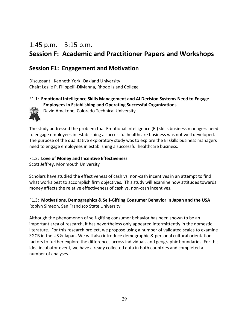## 1:45 p.m.  $-$  3:15 p.m. **Session F: Academic and Practitioner Papers and Workshops**

### **Session F1: Engagement and Motivation**

Discussant: Kenneth York, Oakland University Chair: Leslie P. Filippelli‐DiManna, Rhode Island College

### F1.1: **Emotional Intelligence Skills Management and AI Decision Systems Need to Engage Employees in Establishing and Operating Successful Organizations**



David Amakobe, Colorado Technical University

The study addressed the problem that Emotional Intelligence (EI) skills business managers need to engage employees in establishing a successful healthcare business was not well developed. The purpose of the qualitative exploratory study was to explore the EI skills business managers need to engage employees in establishing a successful healthcare business.

### F1.2: **Love of Money and Incentive Effectiveness**

Scott Jeffrey, Monmouth University

Scholars have studied the effectiveness of cash vs. non-cash incentives in an attempt to find what works best to accomplish firm objectives. This study will examine how attitudes towards money affects the relative effectiveness of cash vs. non‐cash incentives.

### F1.3: **Motivations, Demographics & Self‐Gifting Consumer Behavior in Japan and the USA** Roblyn Simeon, San Francisco State University

Although the phenomenon of self‐gifting consumer behavior has been shown to be an important area of research, it has nevertheless only appeared intermittently in the domestic literature. For this research project, we propose using a number of validated scales to examine SGCB in the US & Japan. We will also introduce demographic & personal cultural orientation factors to further explore the differences across individuals and geographic boundaries. For this idea incubator event, we have already collected data in both countries and completed a number of analyses.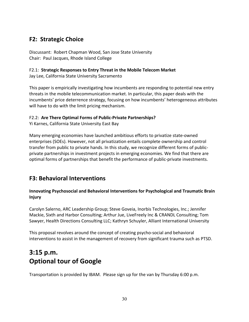### **F2: Strategic Choice**

Discussant: Robert Chapman Wood, San Jose State University Chair: Paul Jacques, Rhode Island College

### F2.1: **Strategic Responses to Entry Threat in the Mobile Telecom Market**

Jay Lee, California State University Sacramento

This paper is empirically investigating how incumbents are responding to potential new entry threats in the mobile telecommunication market. In particular, this paper deals with the incumbents' price deterrence strategy, focusing on how incumbents' heterogeneous attributes will have to do with the limit pricing mechanism.

### F2.2: **Are There Optimal Forms of Public‐Private Partnerships?**

Yi Karnes, California State University East Bay

Many emerging economies have launched ambitious efforts to privatize state‐owned enterprises (SOEs). However, not all privatization entails complete ownership and control transfer from public to private hands. In this study, we recognize different forms of public‐ private partnerships in investment projects in emerging economies. We find that there are optimal forms of partnerships that benefit the performance of public‐private investments.

### **F3: Behavioral Interventions**

### **Innovating Psychosocial and Behavioral Interventions for Psychological and Traumatic Brain Injury**

Carolyn Salerno, ARC Leadership Group; Steve Goveia, Inorbis Technologies, Inc.; Jennifer Mackie, Sixth and Harbor Consulting; Arthur Jue, LiveFreely Inc & CRANDL Consulting; Tom Sawyer, Health Directions Consulting LLC; Kathryn Schuyler, Alliant International University

This proposal revolves around the concept of creating psycho‐social and behavioral interventions to assist in the management of recovery from significant trauma such as PTSD.

## **3:15 p.m. Optional tour of Google**

Transportation is provided by IBAM. Please sign up for the van by Thursday 6:00 p.m.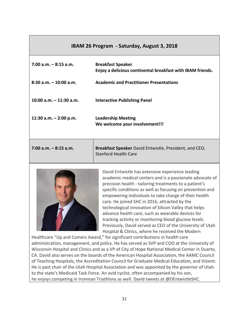### **IBAM 26 Program ‐ Saturday, August 3, 2018**

| $7:00$ a.m. $-8:15$ a.m.   | <b>Breakfast Speaker</b><br>Enjoy a delicious continental breakfast with IBAM friends.       |
|----------------------------|----------------------------------------------------------------------------------------------|
| $8:30$ a.m. $-10:00$ a.m.  | <b>Academic and Practitioner Presentations</b>                                               |
| $10:00$ a.m. $-11:30$ a.m. | <b>Interactive Publishing Panel</b>                                                          |
| 11:30 a.m. $-$ 2:00 p.m.   | <b>Leadership Meeting</b><br>We welcome your involvement!!!                                  |
| $7:00$ a.m. $-8:15$ a.m.   | <b>Breakfast Speaker</b> David Entwistle, President, and CEO,<br><b>Stanford Health Care</b> |



David Entwistle has extensive experience leading academic medical centers and is a passionate advocate of precision health ‐ tailoring treatments to a patient's specific conditions as well as focusing on prevention and empowering individuals to take charge of their health care. He joined SHC in 2016, attracted by the technological innovation of Silicon Valley that helps advance health care, such as wearable devices for tracking activity or monitoring blood glucose levels. Previously, David served as CEO of the University of Utah Hospital & Clinics, where he received the Modern

Healthcare "Up and Comers Award," for significant contributions in health care administration, management, and policy. He has served as SVP and COO at the University of Wisconsin Hospital and Clinics and as a VP of City of Hope National Medical Center in Duarte, CA. David also serves on the boards of the American Hospital Association, the AAMC Council of Teaching Hospitals, the Accreditation Council for Graduate Medical Education, and Vizient. He is past chair of the Utah Hospital Association and was appointed by the governor of Utah to the state's Medicaid Task Force. An avid cyclist, often accompanied by his son, he enjoys competing in Ironman Triathlons as well. David tweets at @DEntwistleSHC.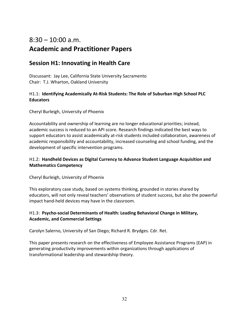## $8:30 - 10:00$  a.m. **Academic and Practitioner Papers**

### **Session H1: Innovating in Health Care**

Discussant: Jay Lee, California State University Sacramento Chair: T.J. Wharton, Oakland University

### H1.1: **Identifying Academically At‐Risk Students: The Role of Suburban High School PLC Educators**

Cheryl Burleigh, University of Phoenix

Accountability and ownership of learning are no longer educational priorities; instead, academic success is reduced to an API score. Research findings indicated the best ways to support educators to assist academically at-risk students included collaboration, awareness of academic responsibility and accountability, increased counseling and school funding, and the development of specific intervention programs.

### H1.2: **Handheld Devices as Digital Currency to Advance Student Language Acquisition and Mathematics Competency**

Cheryl Burleigh, University of Phoenix

This exploratory case study, based on systems thinking, grounded in stories shared by educators, will not only reveal teachers' observations of student success, but also the powerful impact hand‐held devices may have in the classroom.

### H1.3: **Psycho‐social Determinants of Health: Leading Behavioral Change in Military, Academic, and Commercial Settings**

Carolyn Salerno, University of San Diego; Richard R. Brydges. Cdr. Ret.

This paper presents research on the effectiveness of Employee Assistance Programs (EAP) in generating productivity improvements within organizations through applications of transformational leadership and stewardship theory.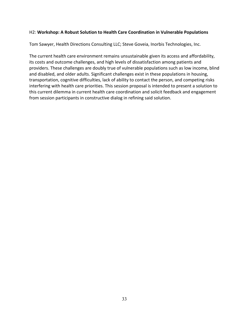### H2: **Workshop: A Robust Solution to Health Care Coordination in Vulnerable Populations**

Tom Sawyer, Health Directions Consulting LLC; Steve Goveia, Inorbis Technologies, Inc.

The current health care environment remains unsustainable given its access and affordability, its costs and outcome challenges, and high levels of dissatisfaction among patients and providers. These challenges are doubly true of vulnerable populations such as low income, blind and disabled, and older adults. Significant challenges exist in these populations in housing, transportation, cognitive difficulties, lack of ability to contact the person, and competing risks interfering with health care priorities. This session proposal is intended to present a solution to this current dilemma in current health care coordination and solicit feedback and engagement from session participants in constructive dialog in refining said solution.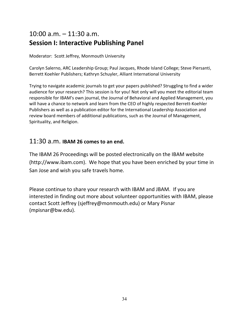## 10:00 a.m. – 11:30 a.m. **Session I: Interactive Publishing Panel**

Moderator: Scott Jeffrey, Monmouth University

Carolyn Salerno, ARC Leadership Group; Paul Jacques, Rhode Island College; Steve Piersanti, Berrett Koehler Publishers; Kathryn Schuyler, Alliant International University

Trying to navigate academic journals to get your papers published? Struggling to find a wider audience for your research? This session is for you! Not only will you meet the editorial team responsible for IBAM's own journal, the Journal of Behavioral and Applied Management, you will have a chance to network and learn from the CEO of highly respected Berrett-Koehler Publishers as well as a publication editor for the International Leadership Association and review board members of additional publications, such as the Journal of Management, Spirituality, and Religion.

### 11:30 a.m. **IBAM 26 comes to an end.**

The IBAM 26 Proceedings will be posted electronically on the IBAM website (http://www.ibam.com). We hope that you have been enriched by your time in San Jose and wish you safe travels home.

Please continue to share your research with IBAM and JBAM. If you are interested in finding out more about volunteer opportunities with IBAM, please contact Scott Jeffrey (sjeffrey@monmouth.edu) or Mary Pisnar (mpisnar@bw.edu).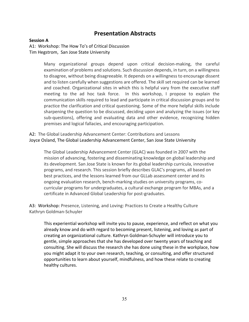### **Presentation Abstracts**

### **Session A**

A1: Workshop: The How To's of Critical Discussion Tim Hegstrom, San Jose State University

> Many organizational groups depend upon critical decision-making, the careful examination of problems and solutions. Such discussion depends, in turn, on a willingness to disagree, without being disagreeable. It depends on a willingness to encourage dissent and to listen carefully when suggestions are offered. The skill set required can be learned and coached. Organizational sites in which this is helpful vary from the executive staff meeting to the ad hoc task force. In this workshop, I propose to explain the communication skills required to lead and participate in critical discussion groups and to practice the clarification and critical questioning. Some of the more helpful skills include sharpening the question to be discussed, deciding upon and analyzing the issues (or key sub‐questions), offering and evaluating data and other evidence, recognizing hidden premises and logical fallacies, and encouraging participation.

A2: The Global Leadership Advancement Center: Contributions and Lessons Joyce Osland, The Global Leadership Advancement Center, San Jose State University

The Global Leadership Advancement Center (GLAC) was founded in 2007 with the mission of advancing, fostering and disseminating knowledge on global leadership and its development. San Jose State is known for its global leadership curricula, innovative programs, and research. This session briefly describes GLAC's programs, all based on best practices, and the lessons learned from our GLLab assessment center and its ongoing evaluation research, bench‐marking studies on university programs, co‐ curricular programs for undergraduates, a cultural exchange program for MBAs, and a certificate in Advanced Global Leadership for post-graduates.

A3: Workshop: Presence, Listening, and Loving: Practices to Create a Healthy Culture Kathryn Goldman‐Schuyler

This experiential workshop will invite you to pause, experience, and reflect on what you already know and do with regard to becoming present, listening, and loving as part of creating an organizational culture. Kathryn Goldman‐Schuyler will introduce you to gentle, simple approaches that she has developed over twenty years of teaching and consulting. She will discuss the research she has done using these in the workplace, how you might adapt it to your own research, teaching, or consulting, and offer structured opportunities to learn about yourself, mindfulness, and how these relate to creating healthy cultures.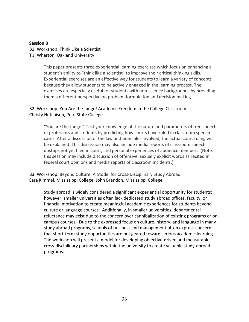### **Session B**

B1: Workshop: Think Like a Scientist T.J. Wharton, Oakland University

> This paper presents three experiential learning exercises which focus on enhancing a student's ability to "think like a scientist" to improve their critical thinking skills. Experiential exercises are an effective way for students to learn a variety of concepts because they allow students to be actively engaged in the learning process. The exercises are especially useful for students with non‐science backgrounds by providing them a different perspective on problem formulation and decision making.

### B2: Workshop: You Are the Judge! Academic Freedom in the College Classroom Christy Hutchison, Peru State College

"You are the Judge!" Test your knowledge of the nature and parameters of free speech of professors and students by predicting how courts have ruled in classroom speech cases. After a discussion of the law and principles involved, the actual court ruling will be explained. This discussion may also include media reports of classroom speech dustups not yet filed in court, and personal experiences of audience members. (Note: this session may include discussion of offensive, sexually explicit words as recited in federal court opinions and media reports of classroom incidents.)

B3: Workshop: Beyond Culture: A Model for Cross‐Disciplinary Study Abroad Sara Kimmel, Mississippi College; John Brandon, Mississippi College

Study abroad is widely considered a significant experiential opportunity for students; however, smaller universities often lack dedicated study abroad offices, faculty, or financial motivation to create meaningful academic experiences for students beyond culture or language courses. Additionally, in smaller universities, departmental reluctance may exist due to the concern over cannibalization of existing programs or on‐ campus courses. Due to the expressed focus on culture, history, and language in many study abroad programs, schools of business and management often express concern that short‐term study opportunities are not geared toward serious academic learning. The workshop will present a model for developing objective‐driven and measurable, cross‐disciplinary partnerships within the university to create valuable study‐abroad programs.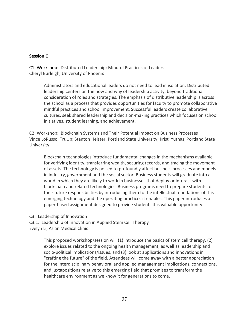### **Session C**

C1: Workshop: Distributed Leadership: Mindful Practices of Leaders Cheryl Burleigh, University of Phoenix

> Administrators and educational leaders do not need to lead in isolation. Distributed leadership centers on the how and why of leadership activity, beyond traditional consideration of roles and strategies. The emphasis of distributive leadership is across the school as a process that provides opportunities for faculty to promote collaborative mindful practices and school improvement. Successful leaders create collaborative cultures, seek shared leadership and decision‐making practices which focuses on school initiatives, student learning, and achievement.

C2: Workshop: Blockchain Systems and Their Potential Impact on Business Processes Vince LoRusso, TruUp; Stanton Heister, Portland State University; Kristi Yuthas, Portland State University

Blockchain technologies introduce fundamental changes in the mechanisms available for verifying identity, transferring wealth, securing records, and tracing the movement of assets. The technology is poised to profoundly affect business processes and models in industry, government and the social sector. Business students will graduate into a world in which they are likely to work in businesses that deploy or interact with blockchain and related technologies. Business programs need to prepare students for their future responsibilities by introducing them to the intellectual foundations of this emerging technology and the operating practices it enables. This paper introduces a paper‐based assignment designed to provide students this valuable opportunity.

C3: Leadership of Innovation

C3.1: Leadership of Innovation in Applied Stem Cell Therapy

Evelyn Li, Asian Medical Clinic

This proposed workshop/session will (1) introduce the basics of stem cell therapy, (2) explore issues related to the ongoing health management, as well as leadership and socio‐political implications/issues, and (3) look at applications and innovations in "crafting the future" of the field. Attendees will come away with a better appreciation for the interdisciplinary behavioral and applied management implications, connections, and juxtapositions relative to this emerging field that promises to transform the healthcare environment as we know it for generations to come.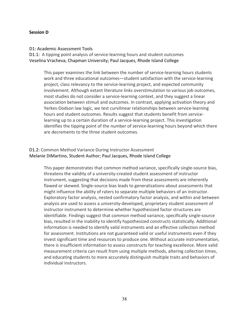### **Session D**

#### D1: Academic Assessment Tools

D1.1: A tipping point analysis of service-learning hours and student outcomes Veselina Vracheva, Chapman University; Paul Jacques, Rhode Island College

This paper examines the link between the number of service‐learning hours students work and three educational outcomes—student satisfaction with the service-learning project, class relevancy to the service‐learning project, and expected community involvement. Although extant literature links overstimulation to various job outcomes, most studies do not consider a service‐learning context, and they suggest a linear association between stimuli and outcomes. In contrast, applying activation theory and Yerkes‐Dodson law logic, we test curvilinear relationships between service‐learning hours and student outcomes. Results suggest that students benefit from service‐ learning up to a certain duration of a service‐learning project. This investigation identifies the tipping point of the number of service‐learning hours beyond which there are decrements to the three student outcomes.

### D1.2: Common Method Variance During Instructor Assessment Melanie DiMartino, Student Author; Paul Jacques, Rhode Island College

This paper demonstrates that common method variance, specifically single‐source bias, threatens the validity of a university‐created student assessment of instructor instrument, suggesting that decisions made from these assessments are inherently flawed or skewed. Single‐source bias leads to generalizations about assessments that might influence the ability of raters to separate multiple behaviors of an instructor. Exploratory factor analysis, nested confirmatory factor analysis, and within and between analysis are used to assess a university-developed, proprietary student assessment of instructor instrument to determine whether hypothesized factor structures are identifiable. Findings suggest that common method variance, specifically single‐source bias, resulted in the inability to identify hypothesized constructs statistically. Additional information is needed to identify valid instruments and an effective collection method for assessment. Institutions are not guaranteed valid or useful instruments even if they invest significant time and resources to produce one. Without accurate instrumentation, there is insufficient information to assess constructs for teaching excellence. More valid measurement criteria can result from using multiple methods, altering collection times, and educating students to more accurately distinguish multiple traits and behaviors of individual instructors.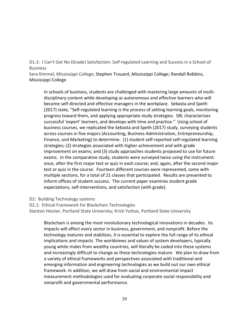D1.3: I Can't Get No (Grade) Satisfaction: Self-regulated Learning and Success in a School of **Business** 

Sara Kimmel, Mississippi College; Stephen Trouard, Mississippi College; Randall Robbins, Mississippi College

In schools of business, students are challenged with mastering large amounts of multi‐ disciplinary content while developing as autonomous and effective learners who will become self‐directed and effective managers in the workplace. Sebasta and Speth (2017) state, "Self‐regulated learning is the process of setting learning goals, monitoring progress toward them, and applying appropriate study strategies. SRL characterizes successful 'expert' learners, and develops with time and practice." Using school of business courses, we replicated the Sebasta and Speth (2017) study, surveying students across courses in five majors (Accounting, Business Administration, Entrepreneurship, Finance, and Marketing) to determine: (1) student self‐reported self‐regulated learning strategies; (2) strategies associated with higher achievement and with grade improvement on exams; and (3) study approaches students proposed to use for future exams. In the comparative study, students were surveyed twice using the instrument: once, after the first major test or quiz in each course; and, again, after the second major test or quiz in the course. Fourteen different courses were represented, some with multiple sections, for a total of 21 classes that participated. Results are presented to inform offices of student success. The current paper examines student grade expectations, self‐interventions, and satisfaction (with grade).

D2: Building Technology systems

D2.1: Ethical Framework for Blockchain Technologies

Stanton Heister, Portland State University; Kristi Yuthas, Portland State University

Blockchain is among the most revolutionary technological innovations in decades. Its impacts will affect every sector in business, government, and nonprofit. Before the technology matures and stabilizes, it is essential to explore the full range of its ethical implications and impacts. The worldviews and values of system developers, typically young white males from wealthy countries, will literally be coded into these systems and increasingly difficult to change as these technologies mature. We plan to draw from a variety of ethical frameworks and perspectives associated with traditional and emerging information and engineering technologies as we build out our own ethical framework. In addition, we will draw from social and environmental impact measurement methodologies used for evaluating corporate social responsibility and nonprofit and governmental performance.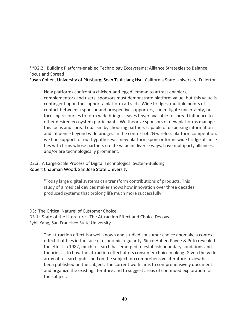\*\*D2.2: Building Platform‐enabled Technology Ecosystems: Alliance Strategies to Balance Focus and Spread

Susan Cohen, University of Pittsburg; Sean Tsuhsiang Hsu, California State University–Fullerton

New platforms confront a chicken‐and‐egg dilemma: to attract enablers, complementors and users, sponsors must demonstrate platform value, but this value is contingent upon the support a platform attracts. Wide bridges, multiple points of contact between a sponsor and prospective supporters, can mitigate uncertainty, but focusing resources to form wide bridges leaves fewer available to spread influence to other desired ecosystem participants. We theorize sponsors of new platforms manage this focus and spread dualism by choosing partners capable of dispersing information and influence beyond wide bridges. In the context of 2G wireless platform competition, we find support for our hypotheses: a new platform sponsor forms wide bridge alliance ties with firms whose partners create value in diverse ways, have multiparty alliances, and/or are technologically prominent.

### D2.3: A Large-Scale Process of Digital Technological System-Building Robert Chapman Wood, San Jose State University

"Today large digital systems can transform contributions of products. This study of a medical devices maker shows how innovation over three decades produced systems that prolong life much more successfully."

D3: The Critical Naturel of Customer Choice

D3.1: State of the Literature - The Attraction Effect and Choice Decoys Sybil Yang, San Francisco State University

> The attraction effect is a well known and studied consumer choice anomaly, a context effect that flies in the face of economic regularity. Since Huber, Payne & Puto revealed the effect in 1982, much research has emerged to establish boundary conditions and theories as to how the attraction effect alters consumer choice making. Given the wide array of research published on the subject, no comprehensive literature review has been published on the subject. The current work aims to comprehensively document and organize the existing literature and to suggest areas of continued exploration for the subject.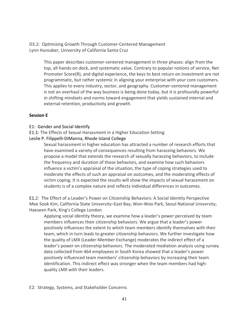D3.2: Optimizing Growth Through Customer‐Centered Management Lynn Hunsaker, University of California Santa Cruz

> This paper describes customer‐centered management in three phases: align from the top, all‐hands‐on deck, and systematic value. Contrary to popular notions of service, Net Promoter Score(R), and digital experience, the keys to best return on investment are not programmatic, but rather systemic in aligning your enterprise with your core customers. This applies to every industry, sector, and geography. Customer‐centered management is not an overhaul of the way business is being done today, but it is profoundly powerful in shifting mindsets and norms toward engagement that yields sustained internal and external retention, productivity and growth.

### **Session E**

- E1: Gender and Social Identify
- E1.1: The Effects of Sexual Harassment in a Higher Education Setting
- Leslie P. Filippelli‐DiManna, Rhode Island College

Sexual harassment in higher education has attracted a number of research efforts that have examined a variety of consequences resulting from harassing behaviors. We propose a model that extends the research of sexually harassing behaviors, to include the frequency and duration of those behaviors, and examine how such behaviors influence a victim's appraisal of the situation, the type of coping strategies used to moderate the effects of such an appraisal on outcomes, and the moderating effects of victim coping. It is expected the results will show the impacts of sexual harassment on students is of a complex nature and reflects individual differences in outcomes.

E1.2: The Effect of a Leader's Power on Citizenship Behaviors: A Social Identity Perspective Mee Sook Kim, California State University–East Bay; Won‐Woo Park, Seoul National University; Haeseen Park, King's College London

Applying social identity theory, we examine how a leader's power perceived by team members influences their citizenship behaviors. We argue that a leader's power positively influences the extent to which team members identify themselves with their team, which in turn leads to greater citizenship behaviors. We further investigate how the quality of LMX (Leader‐Member Exchange) moderates the indirect effect of a leader's power on citizenship behaviors. The moderated mediation analysis using survey data collected from 464 employees in South Korea showed that a leader's power positively influenced team members' citizenship behaviors by increasing their team identification. This indirect effect was stronger when the team members had high‐ quality LMX with their leaders.

E2: Strategy, Systems, and Stakeholder Concerns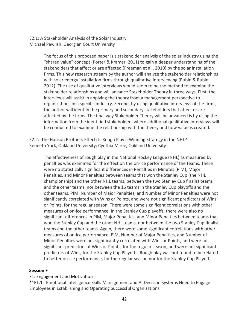E2.1: A Stakeholder Analysis of the Solar Industry Michael Pawlish, Georgian Court University

> The focus of this proposed paper is a stakeholder analysis of the solar industry using the "shared value" concept (Porter & Kramer, 2011) to gain a deeper understanding of the stakeholders that affect or are affected (Freeman et al., 2010) by the solar installation firms. This new research stream by the author will analyze the stakeholder relationships with solar energy installation firms through qualitative interviewing (Rubin & Rubin, 2012). The use of qualitative interviews would seem to be the method to examine the stakeholder relationships and will advance Stakeholder Theory in three ways. First, the interviews will assist in applying the theory from a management perspective to organizations in a specific industry. Second, by using qualitative interviews of the firms, the author will identify the primary and secondary stakeholders that affect or are affected by the firms. The final way Stakeholder Theory will be advanced is by using the information from the identified stakeholders where additional qualitative interviews will be conducted to examine the relationship with the theory and how value is created.

E2.2: The Hanson Brothers Effect: Is Rough Play a Winning Strategy in the NHL? Kenneth York, Oakland University; Cynthia Miree, Oakland University

The effectiveness of rough play in the National Hockey League (NHL) as measured by penalties was examined for the effect on the on‐ice performance of the teams. There were no statistically significant differences in Penalties in Minutes (PIM), Major Penalties, and Minor Penalties between teams that won the Stanley Cup (the NHL championship) and the other NHL teams, between the two Stanley Cup finalist teams and the other teams, nor between the 16 teams in the Stanley Cup playoffs and the other teams. PIM, Number of Major Penalties, and Number of Minor Penalties were not significantly correlated with Wins or Points, and were not significant predictors of Wins or Points, for the regular season. There were some significant correlations with other measures of on‐ice performance. In the Stanley Cup playoffs, there were also no significant differences in PIM, Major Penalties, and Minor Penalties between teams that won the Stanley Cup and the other NHL teams, nor between the two Stanley Cup finalist teams and the other teams. Again, there were some significant correlations with other measures of on‐ice performance. PIM, Number of Major Penalties, and Number of Minor Penalties were not significantly correlated with Wins or Points, and were not significant predictors of Wins or Points, for the regular season, and were not significant predictors of Wins, for the Stanley Cup Playoffs. Rough play was not found to be related to better on‐ice performance, for the regular season nor for the Stanley Cup Playoffs.

### **Session F**

### F1: Engagement and Motivation

\*\*F1.1: Emotional Intelligence Skills Management and AI Decision Systems Need to Engage Employees in Establishing and Operating Successful Organizations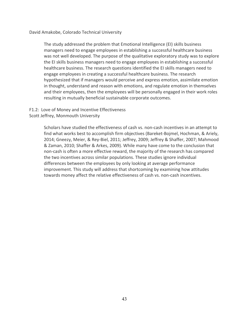David Amakobe, Colorado Technical University

The study addressed the problem that Emotional Intelligence (EI) skills business managers need to engage employees in establishing a successful healthcare business was not well developed. The purpose of the qualitative exploratory study was to explore the EI skills business managers need to engage employees in establishing a successful healthcare business. The research questions identified the EI skills managers need to engage employees in creating a successful healthcare business. The research hypothesized that if managers would perceive and express emotion, assimilate emotion in thought, understand and reason with emotions, and regulate emotion in themselves and their employees, then the employees will be personally engaged in their work roles resulting in mutually beneficial sustainable corporate outcomes.

### F1.2: Love of Money and Incentive Effectiveness

Scott Jeffrey, Monmouth University

Scholars have studied the effectiveness of cash vs. non-cash incentives in an attempt to find what works best to accomplish firm objectives (Bareket‐Bojmel, Hochman, & Ariely, 2014; Gneezy, Meier, & Rey‐Biel, 2011; Jeffrey, 2009; Jeffrey & Shaffer, 2007; Mahmood & Zaman, 2010; Shaffer & Arkes, 2009). While many have come to the conclusion that non-cash is often a more effective reward, the majority of the research has compared the two incentives across similar populations. These studies ignore individual differences between the employees by only looking at average performance improvement. This study will address that shortcoming by examining how attitudes towards money affect the relative effectiveness of cash vs. non‐cash incentives.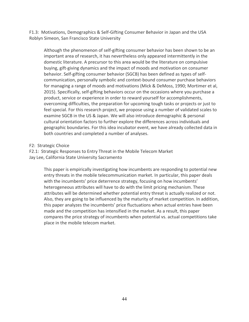F1.3: Motivations, Demographics & Self‐Gifting Consumer Behavior in Japan and the USA Roblyn Simeon, San Francisco State University

Although the phenomenon of self‐gifting consumer behavior has been shown to be an important area of research, it has nevertheless only appeared intermittently in the domestic literature. A precursor to this area would be the literature on compulsive buying, gift‐giving dynamics and the impact of moods and motivation on consumer behavior. Self‐gifting consumer behavior (SGCB) has been defined as types of self‐ communication, personally symbolic and context-bound consumer purchase behaviors for managing a range of moods and motivations (Mick & DeMoss, 1990; Mortimer et al, 2015). Specifically, self‐gifting behaviors occur on the occasions where you purchase a product, service or experience in order to reward yourself for accomplishments, overcoming difficulties, the preparation for upcoming tough tasks or projects or just to feel special. For this research project, we propose using a number of validated scales to examine SGCB in the US & Japan. We will also introduce demographic & personal cultural orientation factors to further explore the differences across individuals and geographic boundaries. For this idea incubator event, we have already collected data in both countries and completed a number of analyses.

F2: Strategic Choice

F2.1: Strategic Responses to Entry Threat in the Mobile Telecom Market Jay Lee, California State University Sacramento

> This paper is empirically investigating how incumbents are responding to potential new entry threats in the mobile telecommunication market. In particular, this paper deals with the incumbents' price deterrence strategy, focusing on how incumbents' heterogeneous attributes will have to do with the limit pricing mechanism. These attributes will be determined whether potential entry threat is actually realized or not. Also, they are going to be influenced by the maturity of market competition. In addition, this paper analyzes the incumbents' price fluctuations when actual entries have been made and the competition has intensified in the market. As a result, this paper compares the price strategy of incumbents when potential vs. actual competitions take place in the mobile telecom market.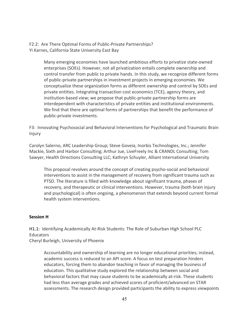F2.2: Are There Optimal Forms of Public-Private Partnerships? Yi Karnes, California State University East Bay

> Many emerging economies have launched ambitious efforts to privatize state‐owned enterprises (SOEs). However, not all privatization entails complete ownership and control transfer from public to private hands. In this study, we recognize different forms of public‐private partnerships in investment projects in emerging economies. We conceptualize these organization forms as different ownership and control by SOEs and private entities. Integrating transaction cost economics (TCE), agency theory, and institution‐based view; we propose that public‐private partnership forms are interdependent with characteristics of private entities and institutional environments. We find that there are optimal forms of partnerships that benefit the performance of public‐private investments.

F3: Innovating Psychosocial and Behavioral Interventions for Psychological and Traumatic Brain Injury

Carolyn Salerno, ARC Leadership Group; Steve Goveia, Inorbis Technologies, Inc.; Jennifer Mackie, Sixth and Harbor Consulting; Arthur Jue, LiveFreely Inc & CRANDL Consulting; Tom Sawyer, Health Directions Consulting LLC; Kathryn Schuyler, Alliant International University

This proposal revolves around the concept of creating psycho‐social and behavioral interventions to assist in the management of recovery from significant trauma such as PTSD. The literature is filled with knowledge about significant trauma, phases of recovery, and therapeutic or clinical interventions. However, trauma (both brain injury and psychological) is often ongoing, a phenomenon that extends beyond current formal health system interventions.

### **Session H**

H1.1: Identifying Academically At-Risk Students: The Role of Suburban High School PLC **Educators** 

Cheryl Burleigh, University of Phoenix

Accountability and ownership of learning are no longer educational priorities; instead, academic success is reduced to an API score. A focus on test preparation hinders educators, forcing them to abandon teaching in favor of managing the business of education. This qualitative study explored the relationship between social and behavioral factors that may cause students to be academically at-risk. These students had less than average grades and achieved scores of proficient/advanced on STAR assessments. The research design provided participants the ability to express viewpoints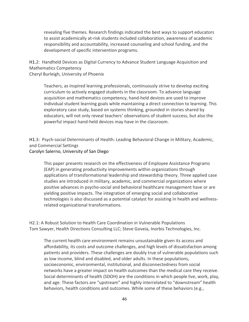revealing five themes. Research findings indicated the best ways to support educators to assist academically at-risk students included collaboration, awareness of academic responsibility and accountability, increased counseling and school funding, and the development of specific intervention programs.

H1.2: Handheld Devices as Digital Currency to Advance Student Language Acquisition and Mathematics Competency

Cheryl Burleigh, University of Phoenix

Teachers, as inspired learning professionals, continuously strive to develop exciting curriculum to actively engaged students in the classroom. To advance language acquisition and mathematics competency, hand‐held devices are used to improve individual student learning goals while maintaining a direct connection to learning. This exploratory case study, based on systems thinking, grounded in stories shared by educators, will not only reveal teachers' observations of student success, but also the powerful impact hand‐held devices may have in the classroom.

H1.3: Psych‐social Determinants of Health: Leading Behavioral Change in Military, Academic, and Commercial Settings

### Carolyn Salerno, University of San Diego

This paper presents research on the effectiveness of Employee Assistance Programs (EAP) in generating productivity improvements within organizations through applications of transformational leadership and stewardship theory. Three applied case studies are introduced in military, academic, and commercial organizations where positive advances in psycho‐social and behavioral healthcare management have or are yielding positive impacts. The integration of emerging social and collaborative technologies is also discussed as a potential catalyst for assisting in health and wellness‐ related organizational transformations.

H2.1: A Robust Solution to Health Care Coordination in Vulnerable Populations Tom Sawyer, Health Directions Consulting LLC; Steve Goveia, Inorbis Technologies, Inc.

The current health care environment remains unsustainable given its access and affordability, its costs and outcome challenges, and high levels of dissatisfaction among patients and providers. These challenges are doubly true of vulnerable populations such as low income, blind and disabled, and older adults. In these populations, socioeconomic, environmental, institutional, and disconnectedness from social networks have a greater impact on health outcomes than the medical care they receive. Social determinants of health (SDOH) are the conditions in which people live, work, play, and age. These factors are "upstream" and highly interrelated to "downstream" health behaviors, health conditions and outcomes. While some of these behaviors (e.g.,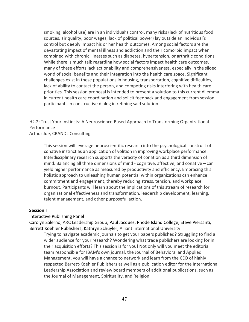smoking, alcohol use) are in an individual's control, many risks (lack of nutritious food sources, air quality, poor wages, lack of political power) lay outside an individual's control but deeply impact his or her health outcomes. Among social factors are the devastating impact of mental illness and addiction and their comorbid impact when combined with chronic illnesses such as diabetes, hypertension, or arthritic conditions. While there is much talk regarding how social factors impact health care outcomes, many of these efforts lack actionability and comprehensiveness, especially in the siloed world of social benefits and their integration into the health care space. Significant challenges exist in these populations in housing, transportation, cognitive difficulties, lack of ability to contact the person, and competing risks interfering with health care priorities. This session proposal is intended to present a solution to this current dilemma in current health care coordination and solicit feedback and engagement from session participants in constructive dialog in refining said solution.

H2.2: Trust Your Instincts: A Neuroscience‐Based Approach to Transforming Organizational Performance

Arthur Jue, CRANDL Consulting

This session will leverage neuroscientific research into the psychological construct of conative instinct as an application of volition in improving workplace performance. Interdisciplinary research supports the veracity of conation as a third dimension of mind. Balancing all three dimensions of mind ‐ cognitive, affective, and conative – can yield higher performance as measured by productivity and efficiency. Embracing this holistic approach to unleashing human potential within organizations can enhance commitment and engagement, thereby reducing stress, tension, and workplace burnout. Participants will learn about the implications of this stream of research for organizational effectiveness and transformation, leadership development, learning, talent management, and other purposeful action.

#### **Session I**

### Interactive Publishing Panel

Carolyn Salerno, ARC Leadership Group; Paul Jacques, Rhode Island College; Steve Piersanti, Berrett Koehler Publishers; Kathryn Schuyler, Alliant International University

Trying to navigate academic journals to get your papers published? Struggling to find a wider audience for your research? Wondering what trade publishers are looking for in their acquisition efforts? This session is for you! Not only will you meet the editorial team responsible for IBAM's own journal, the Journal of Behavioral and Applied Management, you will have a chance to network and learn from the CEO of highly respected Berrett‐Koehler Publishers as well as a publication editor for the International Leadership Association and review board members of additional publications, such as the Journal of Management, Spirituality, and Religion.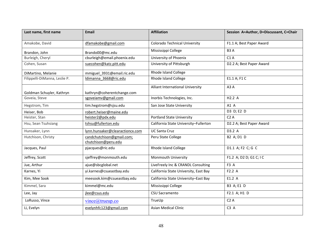| Last name, first name         | <b>Email</b>                                     | <b>Affiliation</b>                    | Session A=Author, D=Discussant, C=Chair |
|-------------------------------|--------------------------------------------------|---------------------------------------|-----------------------------------------|
| Amakobe, David                | dfamakobe@gmail.com                              | <b>Colorado Technical University</b>  | F1.1 A; Best Paper Award                |
| Brandon, John                 | Brando00@mc.edu                                  | Mississippi College                   | B <sub>3</sub> A                        |
| Burleigh, Cheryl              | cburleigh@email.phoenix.edu                      | University of Phoenix                 | C1A                                     |
| Cohen, Susan                  | suecohen@katz.pitt.edu                           | University of Pittsburgh              | D2.2 A; Best Paper Award                |
| DiMartino, Melanie            | mmiguel_3931@email.ric.edu                       | Rhode Island College                  |                                         |
| Filippelli-DiManna, Leslie P. | Idimanna 3668@ric.edu                            | <b>Rhode Island College</b>           | E1.1 A; F1 C                            |
|                               |                                                  | Alliant International University      | A3A                                     |
| Goldman Schuyler, Kathryn     | kathryn@coherentchange.com                       |                                       |                                         |
| Goveia, Steve                 | sgoveiamv@gmail.com                              | Inorbis Technologies, Inc.            | H2.2 A                                  |
| Hegstrom, Tim                 | tim.hegstrom@sjsu.edu                            | San Jose State University             | A1 A                                    |
| Heiser, Bob                   | robert.heiser@maine.edu                          |                                       | D3 D; E2 D                              |
| Heister, Stan                 | heister2@pdx.edu                                 | <b>Portland State University</b>      | C2A                                     |
| Hsu, Sean Tsuhsiang           | tshsu@fullerton.edu                              | California State University-Fullerton | D2.2 A; Best Paper Award                |
| Hunsaker, Lynn                | lynn.hunsaker@clearactioncx.com                  | <b>UC Santa Cruz</b>                  | D3.2 A                                  |
| Hutchison, Christy            | candchutchison@gmail.com;<br>chutchison@peru.edu | Peru State College                    | B2 A; D1 D                              |
| Jacques, Paul                 | pjacques@ric.edu                                 | Rhode Island College                  | D1.1 A; F2 C; G C                       |
| Jeffrey, Scott                | sjeffrey@monmouth.edu                            | Monmouth University                   | F1.2 A; D2 D; G1 C; I C                 |
| Jue, Arthur                   | ajue@sbcglobal.net                               | LiveFreely Inc & CRANDL Consulting    | F3 A                                    |
| Karnes, Yi                    | yi.karnes@csueastbay.edu                         | California State University, East Bay | F2.2 A                                  |
| Kim, Mee Sook                 | meesook.kim@csueastbay.edu                       | California State University-East Bay  | E1.2 A                                  |
| Kimmel, Sara                  | kimmel@mc.edu                                    | Mississippi College                   | B3 A; E1 D                              |
| Lee, Jay                      | jlee@csus.edu                                    | CSU Sacramento                        | F2.1 A; H1 D                            |
| LoRusso, Vince                | vine@trueup.co                                   | TrueUp                                | C2A                                     |
| Li, Evelyn                    | evelynhfc123@gmail.com                           | Asian Medical Clinic                  | C3 A                                    |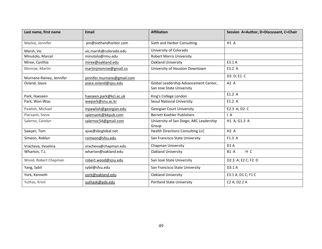| Last name, first name    | <b>Email</b>               | <b>Affiliation</b>                                                 | Session A=Author, D=Discussant, C=Chair |
|--------------------------|----------------------------|--------------------------------------------------------------------|-----------------------------------------|
| Mackie, Jennifer         | jen@sixthandharbor.com     | Sixth and Harbor Consulting                                        | <b>H1 A</b>                             |
| Marsh, Vic               | vic.marsh@colorado.edu     | University of Colorado                                             |                                         |
| Minutolo, Marcel         | minutolo@rmu.edu           | <b>Robert Morris University</b>                                    |                                         |
| Miree, Cynthia           | miree@oakland.edu          | Oakland University                                                 | E3.1 A                                  |
| Monroe, Martin           | martinjmonroe@gmail.co     | University of Houston Downtown                                     | E3.2 A                                  |
| Murnane-Rainey, Jennifer | jennifer.murnane@gmail.com |                                                                    | D3 D; E1 C                              |
| Osland, Joyce            | joyce.osland@sjsu.edu      | Global Leadership Advancement Center,<br>San Jose State University | A2 A                                    |
| Park, Haeseen            | haeseen.park@kcl.ac.uk     | King's College London                                              | E1.2 A                                  |
| Park, Won-Woo            | wwpark@snu.ac.kr           | Seoul National University                                          | E1.2 A                                  |
| Pawlish, Michael         | mpawlish@georgian.edu      | <b>Georgian Court University</b>                                   | E2.3 A; D2 C                            |
| Piersanti, Steve         | spiersanti@bkpub.com       | <b>Berrett Koehler Publishers</b>                                  | $\overline{A}$                          |
| Salerno, Carolyn         | salernoc54@gmail.com       | University of San Diego, ARC Leadership<br>Group                   | H1 A; G1.3 A                            |
| Sawyer, Tom              | ajue@sbcglobal.net         | <b>Health Directions Consulting LLC</b>                            | H2A                                     |
| Simeon, Roblyn           | rsimeon@sfsu.edu           | San Francisco State University                                     | F1.3 A                                  |
| Vracheva, Veselina       | vracheva@chapman.edu       | Chapman University                                                 | D1A                                     |
| Wharton, T.J.            | wharton@oakland.edu        | Oakland University                                                 | H C<br><b>B1 A</b>                      |
| Wood, Robert Chapman     | robert.wood@sjsu.edu       | San José State University                                          | D2.3 A; E2 C; F2 D                      |
| Yang, Sybil              | sybil@sfsu.edu             | San Francisco State University                                     | D3.1 A                                  |
| York, Kenneth            | york@oakland.edu           | Oakland University                                                 | E3.1 A; D1 C; F1 C                      |
| Yuthas, Kristi           | yuthask@pdx.edu            | <b>Portland State University</b>                                   | C2 A; D2.2 A                            |